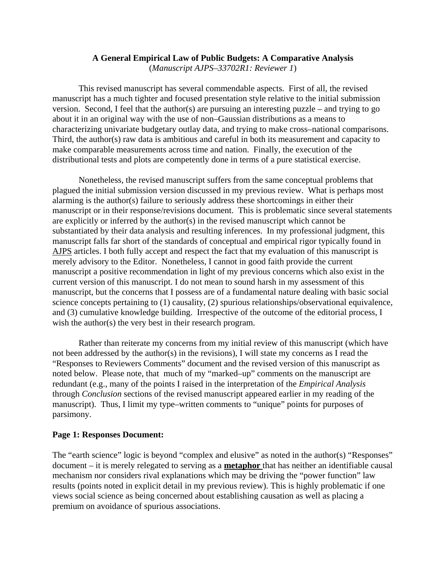### **A General Empirical Law of Public Budgets: A Comparative Analysis** (*Manuscript AJPS–33702R1: Reviewer 1*)

This revised manuscript has several commendable aspects. First of all, the revised manuscript has a much tighter and focused presentation style relative to the initial submission version. Second, I feel that the author(s) are pursuing an interesting puzzle – and trying to go about it in an original way with the use of non–Gaussian distributions as a means to characterizing univariate budgetary outlay data, and trying to make cross–national comparisons. Third, the author(s) raw data is ambitious and careful in both its measurement and capacity to make comparable measurements across time and nation. Finally, the execution of the distributional tests and plots are competently done in terms of a pure statistical exercise.

Nonetheless, the revised manuscript suffers from the same conceptual problems that plagued the initial submission version discussed in my previous review. What is perhaps most alarming is the author(s) failure to seriously address these shortcomings in either their manuscript or in their response/revisions document. This is problematic since several statements are explicitly or inferred by the author(s) in the revised manuscript which cannot be substantiated by their data analysis and resulting inferences. In my professional judgment, this manuscript falls far short of the standards of conceptual and empirical rigor typically found in AJPS articles. I both fully accept and respect the fact that my evaluation of this manuscript is merely advisory to the Editor. Nonetheless, I cannot in good faith provide the current manuscript a positive recommendation in light of my previous concerns which also exist in the current version of this manuscript. I do not mean to sound harsh in my assessment of this manuscript, but the concerns that I possess are of a fundamental nature dealing with basic social science concepts pertaining to (1) causality, (2) spurious relationships/observational equivalence, and (3) cumulative knowledge building. Irrespective of the outcome of the editorial process, I wish the author(s) the very best in their research program.

Rather than reiterate my concerns from my initial review of this manuscript (which have not been addressed by the author(s) in the revisions), I will state my concerns as I read the "Responses to Reviewers Comments" document and the revised version of this manuscript as noted below. Please note, that much of my "marked–up" comments on the manuscript are redundant (e.g., many of the points I raised in the interpretation of the *Empirical Analysis* through *Conclusion* sections of the revised manuscript appeared earlier in my reading of the manuscript). Thus, I limit my type–written comments to "unique" points for purposes of parsimony.

### **Page 1: Responses Document:**

The "earth science" logic is beyond "complex and elusive" as noted in the author(s) "Responses" document – it is merely relegated to serving as a **metaphor** that has neither an identifiable causal mechanism nor considers rival explanations which may be driving the "power function" law results (points noted in explicit detail in my previous review). This is highly problematic if one views social science as being concerned about establishing causation as well as placing a premium on avoidance of spurious associations.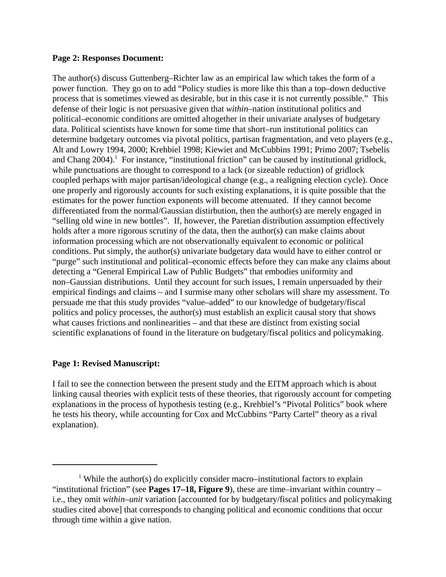#### **Page 2: Responses Document:**

The author(s) discuss Guttenberg–Richter law as an empirical law which takes the form of a power function. They go on to add "Policy studies is more like this than a top–down deductive process that is sometimes viewed as desirable, but in this case it is not currently possible." This defense of their logic is not persuasive given that *within*–nation institutional politics and political–economic conditions are omitted altogether in their univariate analyses of budgetary data. Political scientists have known for some time that short–run institutional politics can determine budgetary outcomes via pivotal politics, partisan fragmentation, and veto players (e.g., Alt and Lowry 1994, 2000; Krehbiel 1998; Kiewiet and McCubbins 1991; Primo 2007; Tsebelis and Chang  $2004$ .<sup>1</sup> For instance, "institutional friction" can be caused by institutional gridlock, while punctuations are thought to correspond to a lack (or sizeable reduction) of gridlock coupled perhaps with major partisan/ideological change (e.g., a realigning election cycle). Once one properly and rigorously accounts for such existing explanations, it is quite possible that the estimates for the power function exponents will become attenuated. If they cannot become differentiated from the normal/Gaussian distirbution, then the author(s) are merely engaged in "selling old wine in new bottles". If, however, the Paretian distribution assumption effectively holds after a more rigorous scrutiny of the data, then the author(s) can make claims about information processing which are not observationally equivalent to economic or political conditions. Put simply, the author(s) univariate budgetary data would have to either control or "purge" such institutional and political–economic effects before they can make any claims about detecting a "General Empirical Law of Public Budgets" that embodies uniformity and non–Gaussian distributions. Until they account for such issues, I remain unpersuaded by their empirical findings and claims – and I surmise many other scholars will share my assessment. To persuade me that this study provides "value–added" to our knowledge of budgetary/fiscal politics and policy processes, the author(s) must establish an explicit causal story that shows what causes frictions and nonlinearities – and that these are distinct from existing social scientific explanations of found in the literature on budgetary/fiscal politics and policymaking.

## **Page 1: Revised Manuscript:**

I fail to see the connection between the present study and the EITM approach which is about linking causal theories with explicit tests of these theories, that rigorously account for competing explanations in the process of hypothesis testing (e.g., Krehbiel's "Pivotal Politics" book where he tests his theory, while accounting for Cox and McCubbins "Party Cartel" theory as a rival explanation).

<sup>&</sup>lt;sup>1</sup> While the author(s) do explicitly consider macro–institutional factors to explain "institutional friction" (see **Pages 17–18, Figure 9**), these are time–invariant within country – i.e., they omit *within–unit* variation [accounted for by budgetary/fiscal politics and policymaking studies cited above] that corresponds to changing political and economic conditions that occur through time within a give nation.